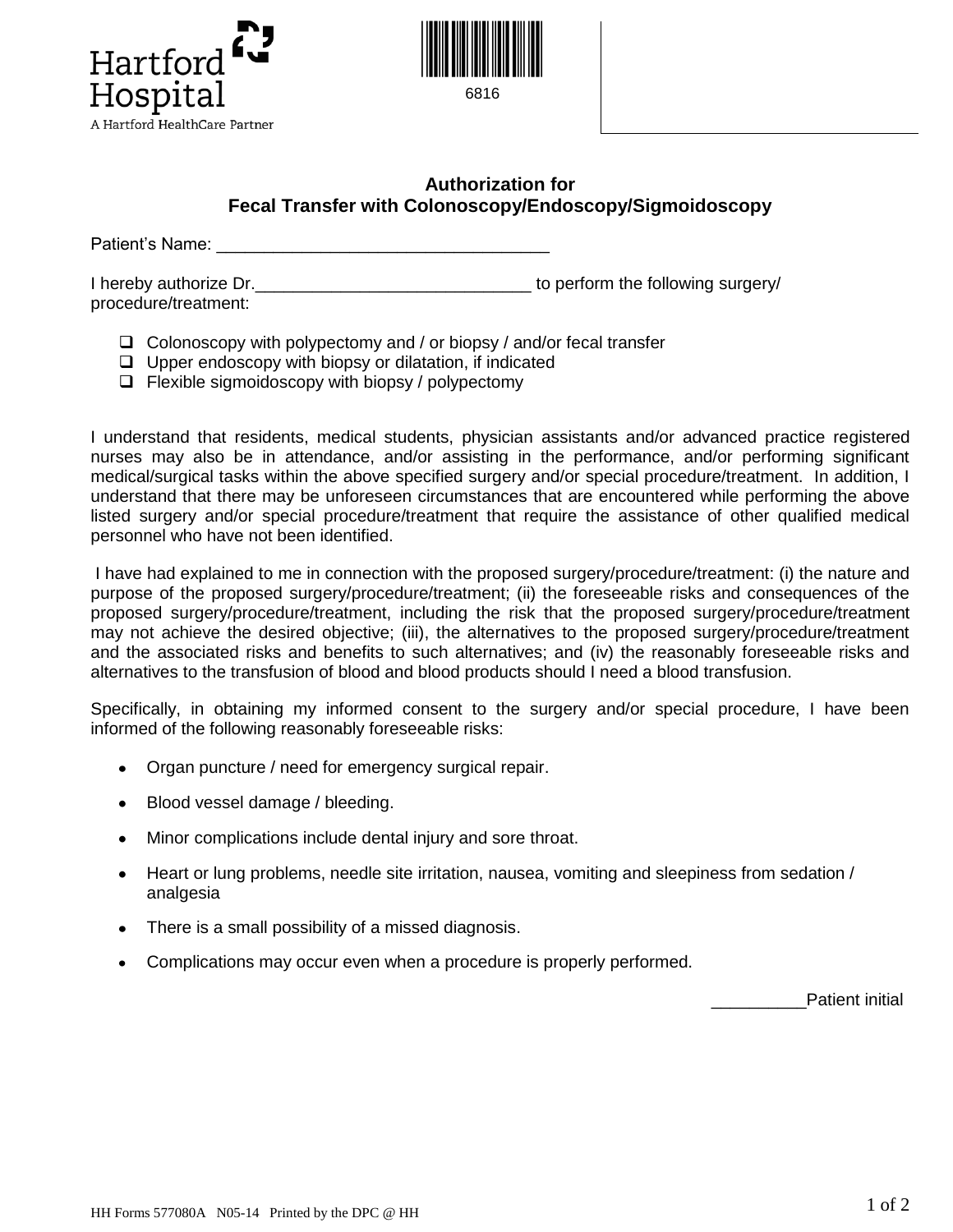



6816

## **Authorization for Fecal Transfer with Colonoscopy/Endoscopy/Sigmoidoscopy**

Patient's Name: \_\_\_\_\_\_\_\_\_\_\_\_\_\_\_\_\_\_\_\_\_\_\_\_\_\_\_\_\_\_\_\_\_\_\_

I hereby authorize Dr. Thereby authorize  $\mathsf{D}$ . procedure/treatment:

- $\Box$  Colonoscopy with polypectomy and / or biopsy / and/or fecal transfer
- $\Box$  Upper endoscopy with biopsy or dilatation, if indicated
- $\Box$  Flexible sigmoidoscopy with biopsy / polypectomy

I understand that residents, medical students, physician assistants and/or advanced practice registered nurses may also be in attendance, and/or assisting in the performance, and/or performing significant medical/surgical tasks within the above specified surgery and/or special procedure/treatment. In addition, I understand that there may be unforeseen circumstances that are encountered while performing the above listed surgery and/or special procedure/treatment that require the assistance of other qualified medical personnel who have not been identified.

I have had explained to me in connection with the proposed surgery/procedure/treatment: (i) the nature and purpose of the proposed surgery/procedure/treatment; (ii) the foreseeable risks and consequences of the proposed surgery/procedure/treatment, including the risk that the proposed surgery/procedure/treatment may not achieve the desired objective; (iii), the alternatives to the proposed surgery/procedure/treatment and the associated risks and benefits to such alternatives; and (iv) the reasonably foreseeable risks and alternatives to the transfusion of blood and blood products should I need a blood transfusion.

Specifically, in obtaining my informed consent to the surgery and/or special procedure, I have been informed of the following reasonably foreseeable risks:

- $\bullet$ Organ puncture / need for emergency surgical repair.
- Blood vessel damage / bleeding.
- Minor complications include dental injury and sore throat.
- Heart or lung problems, needle site irritation, nausea, vomiting and sleepiness from sedation / analgesia
- There is a small possibility of a missed diagnosis.  $\bullet$
- Complications may occur even when a procedure is properly performed.  $\bullet$

Patient initial